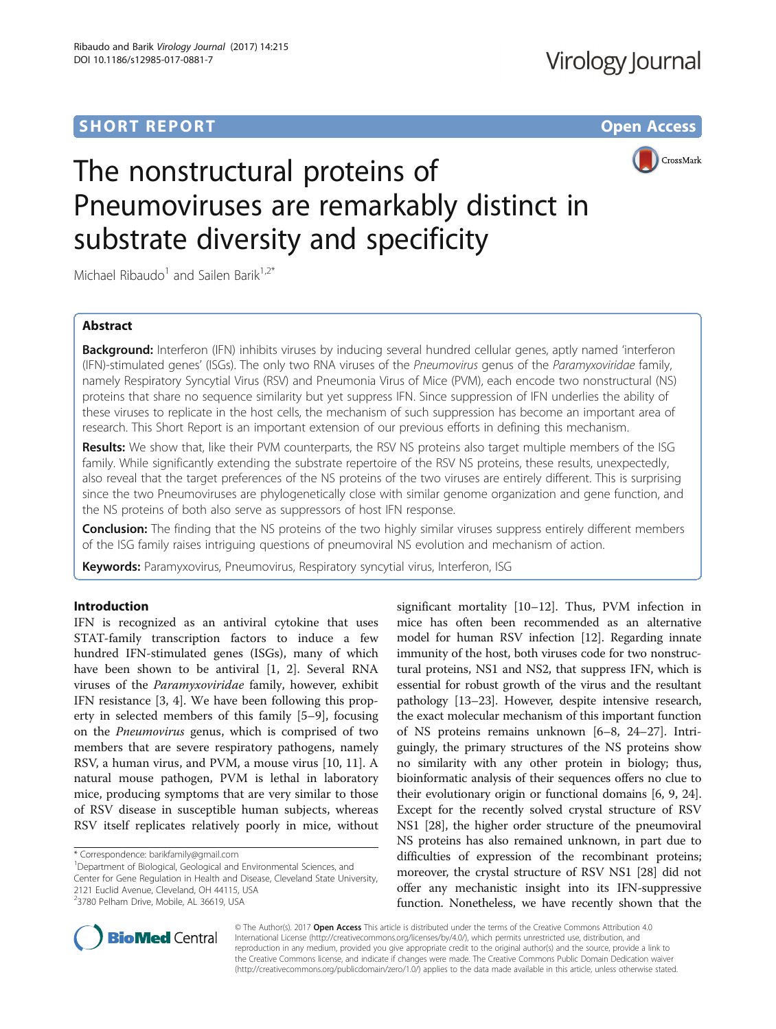## **SHORT REPORT SHORT CONSUMING THE CONSUMING THE CONSUMING THE CONSUMING THE CONSUMING THE CONSUMING THE CONSUMING THE CONSUMING THE CONSUMING THE CONSUMING THE CONSUMING THE CONSUMING THE CONSUMING THE CONSUMING THE CONS**



# The nonstructural proteins of Pneumoviruses are remarkably distinct in substrate diversity and specificity

Michael Ribaudo<sup>1</sup> and Sailen Barik<sup>1,2\*</sup>

## Abstract

Background: Interferon (IFN) inhibits viruses by inducing several hundred cellular genes, aptly named 'interferon (IFN)-stimulated genes' (ISGs). The only two RNA viruses of the Pneumovirus genus of the Paramyxoviridae family, namely Respiratory Syncytial Virus (RSV) and Pneumonia Virus of Mice (PVM), each encode two nonstructural (NS) proteins that share no sequence similarity but yet suppress IFN. Since suppression of IFN underlies the ability of these viruses to replicate in the host cells, the mechanism of such suppression has become an important area of research. This Short Report is an important extension of our previous efforts in defining this mechanism.

Results: We show that, like their PVM counterparts, the RSV NS proteins also target multiple members of the ISG family. While significantly extending the substrate repertoire of the RSV NS proteins, these results, unexpectedly, also reveal that the target preferences of the NS proteins of the two viruses are entirely different. This is surprising since the two Pneumoviruses are phylogenetically close with similar genome organization and gene function, and the NS proteins of both also serve as suppressors of host IFN response.

**Conclusion:** The finding that the NS proteins of the two highly similar viruses suppress entirely different members of the ISG family raises intriguing questions of pneumoviral NS evolution and mechanism of action.

Keywords: Paramyxovirus, Pneumovirus, Respiratory syncytial virus, Interferon, ISG

## Introduction

IFN is recognized as an antiviral cytokine that uses STAT-family transcription factors to induce a few hundred IFN-stimulated genes (ISGs), many of which have been shown to be antiviral [[1](#page-5-0), [2\]](#page-5-0). Several RNA viruses of the Paramyxoviridae family, however, exhibit IFN resistance [\[3](#page-5-0), [4\]](#page-5-0). We have been following this property in selected members of this family [\[5](#page-5-0)–[9\]](#page-5-0), focusing on the Pneumovirus genus, which is comprised of two members that are severe respiratory pathogens, namely RSV, a human virus, and PVM, a mouse virus [[10](#page-5-0), [11](#page-5-0)]. A natural mouse pathogen, PVM is lethal in laboratory mice, producing symptoms that are very similar to those of RSV disease in susceptible human subjects, whereas RSV itself replicates relatively poorly in mice, without

\* Correspondence: [barikfamily@gmail.com](mailto:barikfamily@gmail.com) <sup>1</sup>

<sup>1</sup>Department of Biological, Geological and Environmental Sciences, and Center for Gene Regulation in Health and Disease, Cleveland State University, 2121 Euclid Avenue, Cleveland, OH 44115, USA 2 3780 Pelham Drive, Mobile, AL 36619, USA

significant mortality [[10](#page-5-0)–[12](#page-5-0)]. Thus, PVM infection in mice has often been recommended as an alternative model for human RSV infection [\[12\]](#page-5-0). Regarding innate immunity of the host, both viruses code for two nonstructural proteins, NS1 and NS2, that suppress IFN, which is essential for robust growth of the virus and the resultant pathology [\[13](#page-5-0)–[23](#page-5-0)]. However, despite intensive research, the exact molecular mechanism of this important function of NS proteins remains unknown [\[6](#page-5-0)–[8, 24](#page-5-0)–[27\]](#page-5-0). Intriguingly, the primary structures of the NS proteins show no similarity with any other protein in biology; thus, bioinformatic analysis of their sequences offers no clue to their evolutionary origin or functional domains [\[6, 9](#page-5-0), [24](#page-5-0)]. Except for the recently solved crystal structure of RSV NS1 [\[28\]](#page-5-0), the higher order structure of the pneumoviral NS proteins has also remained unknown, in part due to difficulties of expression of the recombinant proteins; moreover, the crystal structure of RSV NS1 [[28\]](#page-5-0) did not offer any mechanistic insight into its IFN-suppressive function. Nonetheless, we have recently shown that the



© The Author(s). 2017 **Open Access** This article is distributed under the terms of the Creative Commons Attribution 4.0 International License [\(http://creativecommons.org/licenses/by/4.0/](http://creativecommons.org/licenses/by/4.0/)), which permits unrestricted use, distribution, and reproduction in any medium, provided you give appropriate credit to the original author(s) and the source, provide a link to the Creative Commons license, and indicate if changes were made. The Creative Commons Public Domain Dedication waiver [\(http://creativecommons.org/publicdomain/zero/1.0/](http://creativecommons.org/publicdomain/zero/1.0/)) applies to the data made available in this article, unless otherwise stated.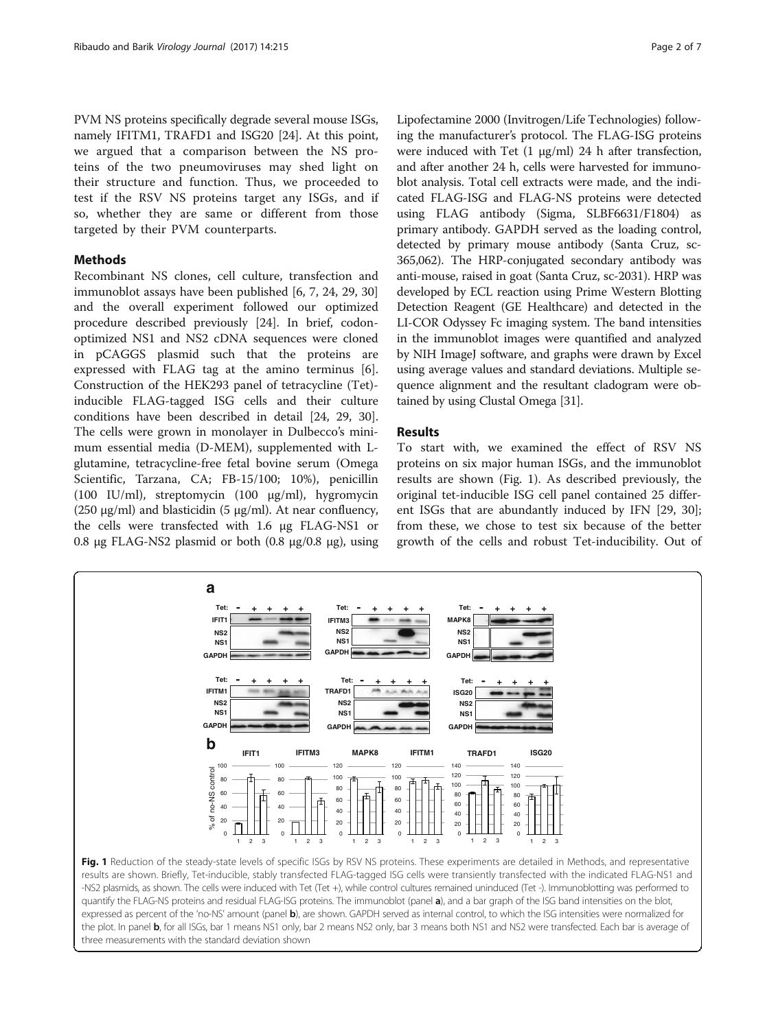<span id="page-1-0"></span>PVM NS proteins specifically degrade several mouse ISGs, namely IFITM1, TRAFD1 and ISG20 [[24](#page-5-0)]. At this point, we argued that a comparison between the NS proteins of the two pneumoviruses may shed light on their structure and function. Thus, we proceeded to test if the RSV NS proteins target any ISGs, and if so, whether they are same or different from those targeted by their PVM counterparts.

## Methods

Recombinant NS clones, cell culture, transfection and immunoblot assays have been published [[6](#page-5-0), [7](#page-5-0), [24](#page-5-0), [29](#page-5-0), [30](#page-5-0)] and the overall experiment followed our optimized procedure described previously [\[24](#page-5-0)]. In brief, codonoptimized NS1 and NS2 cDNA sequences were cloned in pCAGGS plasmid such that the proteins are expressed with FLAG tag at the amino terminus [\[6](#page-5-0)]. Construction of the HEK293 panel of tetracycline (Tet) inducible FLAG-tagged ISG cells and their culture conditions have been described in detail [[24, 29, 30](#page-5-0)]. The cells were grown in monolayer in Dulbecco's minimum essential media (D-MEM), supplemented with Lglutamine, tetracycline-free fetal bovine serum (Omega Scientific, Tarzana, CA; FB-15/100; 10%), penicillin (100 IU/ml), streptomycin (100 μg/ml), hygromycin (250 μg/ml) and blasticidin (5 μg/ml). At near confluency, the cells were transfected with 1.6 μg FLAG-NS1 or 0.8 μg FLAG-NS2 plasmid or both  $(0.8 \text{ μg}/0.8 \text{ μg})$ , using

Lipofectamine 2000 (Invitrogen/Life Technologies) following the manufacturer's protocol. The FLAG-ISG proteins were induced with Tet (1 μg/ml) 24 h after transfection, and after another 24 h, cells were harvested for immunoblot analysis. Total cell extracts were made, and the indicated FLAG-ISG and FLAG-NS proteins were detected using FLAG antibody (Sigma, SLBF6631/F1804) as primary antibody. GAPDH served as the loading control, detected by primary mouse antibody (Santa Cruz, sc-365,062). The HRP-conjugated secondary antibody was anti-mouse, raised in goat (Santa Cruz, sc-2031). HRP was developed by ECL reaction using Prime Western Blotting Detection Reagent (GE Healthcare) and detected in the LI-COR Odyssey Fc imaging system. The band intensities in the immunoblot images were quantified and analyzed by NIH ImageJ software, and graphs were drawn by Excel using average values and standard deviations. Multiple sequence alignment and the resultant cladogram were obtained by using Clustal Omega [\[31\]](#page-5-0).

## Results

To start with, we examined the effect of RSV NS proteins on six major human ISGs, and the immunoblot results are shown (Fig. 1). As described previously, the original tet-inducible ISG cell panel contained 25 different ISGs that are abundantly induced by IFN [\[29, 30](#page-5-0)]; from these, we chose to test six because of the better growth of the cells and robust Tet-inducibility. Out of



quantify the FLAG-NS proteins and residual FLAG-ISG proteins. The immunoblot (panel a), and a bar graph of the ISG band intensities on the blot, expressed as percent of the 'no-NS' amount (panel b), are shown. GAPDH served as internal control, to which the ISG intensities were normalized for the plot. In panel b, for all ISGs, bar 1 means NS1 only, bar 2 means NS2 only, bar 3 means both NS1 and NS2 were transfected. Each bar is average of three measurements with the standard deviation shown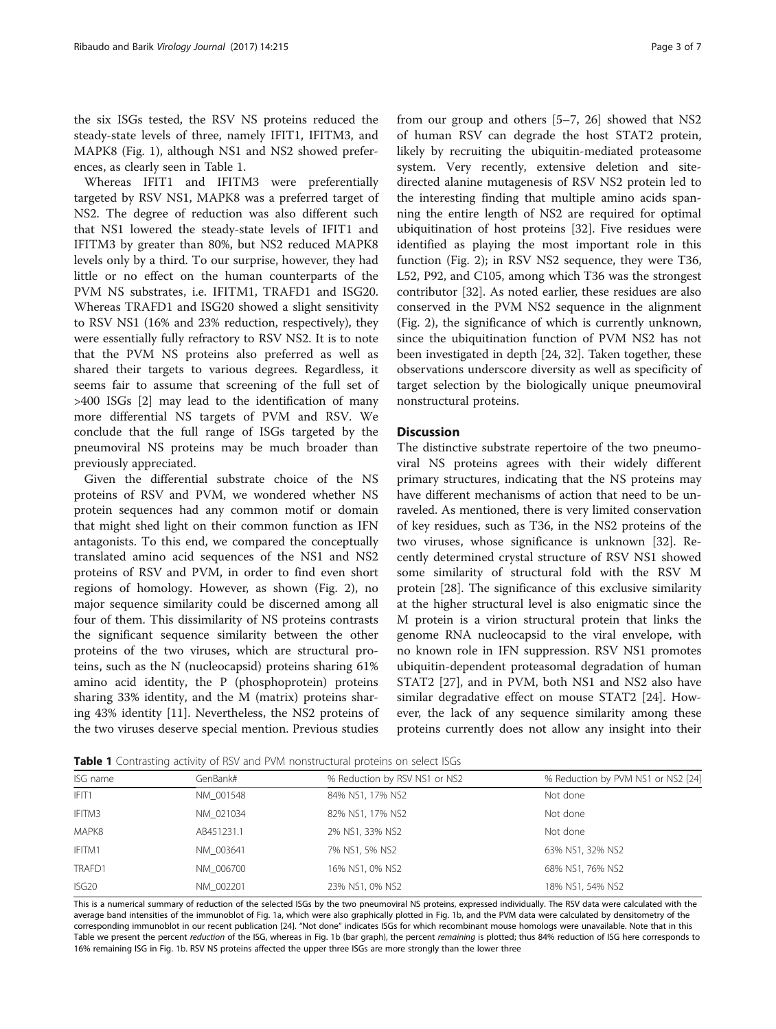the six ISGs tested, the RSV NS proteins reduced the steady-state levels of three, namely IFIT1, IFITM3, and MAPK8 (Fig. [1\)](#page-1-0), although NS1 and NS2 showed preferences, as clearly seen in Table 1.

Whereas IFIT1 and IFITM3 were preferentially targeted by RSV NS1, MAPK8 was a preferred target of NS2. The degree of reduction was also different such that NS1 lowered the steady-state levels of IFIT1 and IFITM3 by greater than 80%, but NS2 reduced MAPK8 levels only by a third. To our surprise, however, they had little or no effect on the human counterparts of the PVM NS substrates, i.e. IFITM1, TRAFD1 and ISG20. Whereas TRAFD1 and ISG20 showed a slight sensitivity to RSV NS1 (16% and 23% reduction, respectively), they were essentially fully refractory to RSV NS2. It is to note that the PVM NS proteins also preferred as well as shared their targets to various degrees. Regardless, it seems fair to assume that screening of the full set of >400 ISGs [\[2\]](#page-5-0) may lead to the identification of many more differential NS targets of PVM and RSV. We conclude that the full range of ISGs targeted by the pneumoviral NS proteins may be much broader than previously appreciated.

Given the differential substrate choice of the NS proteins of RSV and PVM, we wondered whether NS protein sequences had any common motif or domain that might shed light on their common function as IFN antagonists. To this end, we compared the conceptually translated amino acid sequences of the NS1 and NS2 proteins of RSV and PVM, in order to find even short regions of homology. However, as shown (Fig. [2](#page-3-0)), no major sequence similarity could be discerned among all four of them. This dissimilarity of NS proteins contrasts the significant sequence similarity between the other proteins of the two viruses, which are structural proteins, such as the N (nucleocapsid) proteins sharing 61% amino acid identity, the P (phosphoprotein) proteins sharing 33% identity, and the M (matrix) proteins sharing 43% identity [\[11\]](#page-5-0). Nevertheless, the NS2 proteins of the two viruses deserve special mention. Previous studies from our group and others [\[5](#page-5-0)–[7, 26\]](#page-5-0) showed that NS2 of human RSV can degrade the host STAT2 protein, likely by recruiting the ubiquitin-mediated proteasome system. Very recently, extensive deletion and sitedirected alanine mutagenesis of RSV NS2 protein led to the interesting finding that multiple amino acids spanning the entire length of NS2 are required for optimal ubiquitination of host proteins [[32\]](#page-5-0). Five residues were identified as playing the most important role in this function (Fig. [2](#page-3-0)); in RSV NS2 sequence, they were T36, L52, P92, and C105, among which T36 was the strongest contributor [[32\]](#page-5-0). As noted earlier, these residues are also conserved in the PVM NS2 sequence in the alignment (Fig. [2\)](#page-3-0), the significance of which is currently unknown, since the ubiquitination function of PVM NS2 has not been investigated in depth [[24](#page-5-0), [32](#page-5-0)]. Taken together, these observations underscore diversity as well as specificity of target selection by the biologically unique pneumoviral nonstructural proteins.

## **Discussion**

The distinctive substrate repertoire of the two pneumoviral NS proteins agrees with their widely different primary structures, indicating that the NS proteins may have different mechanisms of action that need to be unraveled. As mentioned, there is very limited conservation of key residues, such as T36, in the NS2 proteins of the two viruses, whose significance is unknown [[32\]](#page-5-0). Recently determined crystal structure of RSV NS1 showed some similarity of structural fold with the RSV M protein [\[28\]](#page-5-0). The significance of this exclusive similarity at the higher structural level is also enigmatic since the M protein is a virion structural protein that links the genome RNA nucleocapsid to the viral envelope, with no known role in IFN suppression. RSV NS1 promotes ubiquitin-dependent proteasomal degradation of human STAT2 [\[27](#page-5-0)], and in PVM, both NS1 and NS2 also have similar degradative effect on mouse STAT2 [\[24\]](#page-5-0). However, the lack of any sequence similarity among these proteins currently does not allow any insight into their

**Table 1** Contrasting activity of RSV and PVM nonstructural proteins on select ISGs

| ISG name          | GenBank#   | % Reduction by RSV NS1 or NS2 | % Reduction by PVM NS1 or NS2 [24] |  |
|-------------------|------------|-------------------------------|------------------------------------|--|
| IFIT1             | NM 001548  | 84% NS1, 17% NS2              | Not done                           |  |
| IFITM3            | NM 021034  | 82% NS1, 17% NS2              | Not done                           |  |
| MAPK8             | AB451231.1 | 2% NS1, 33% NS2               | Not done                           |  |
| IFITM1            | NM 003641  | 7% NS1, 5% NS2                | 63% NS1, 32% NS2                   |  |
| TRAFD1            | NM 006700  | 16% NS1, 0% NS2               | 68% NS1, 76% NS2                   |  |
| ISG <sub>20</sub> | NM 002201  | 23% NS1, 0% NS2               | 18% NS1, 54% NS2                   |  |
|                   |            |                               |                                    |  |

This is a numerical summary of reduction of the selected ISGs by the two pneumoviral NS proteins, expressed individually. The RSV data were calculated with the average band intensities of the immunoblot of Fig. [1a](#page-1-0), which were also graphically plotted in Fig. [1b,](#page-1-0) and the PVM data were calculated by densitometry of the corresponding immunoblot in our recent publication [\[24](#page-5-0)]. "Not done" indicates ISGs for which recombinant mouse homologs were unavailable. Note that in this Table we present the percent reduction of the ISG, whereas in Fig. [1b](#page-1-0) (bar graph), the percent remaining is plotted; thus 84% reduction of ISG here corresponds to 16% remaining ISG in Fig. [1b.](#page-1-0) RSV NS proteins affected the upper three ISGs are more strongly than the lower three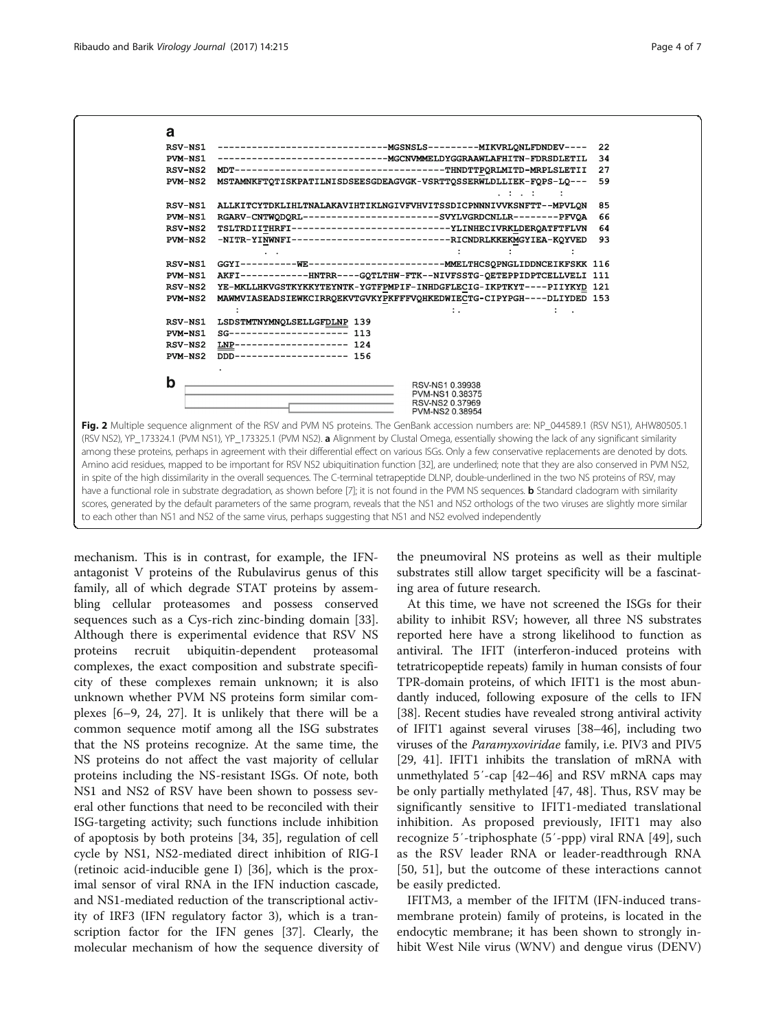<span id="page-3-0"></span>

scores, generated by the default parameters of the same program, reveals that the NS1 and NS2 orthologs of the two viruses are slightly more similar

to each other than NS1 and NS2 of the same virus, perhaps suggesting that NS1 and NS2 evolved independently

mechanism. This is in contrast, for example, the IFNantagonist V proteins of the Rubulavirus genus of this family, all of which degrade STAT proteins by assembling cellular proteasomes and possess conserved sequences such as a Cys-rich zinc-binding domain [\[33](#page-5-0)]. Although there is experimental evidence that RSV NS proteins recruit ubiquitin-dependent proteasomal complexes, the exact composition and substrate specificity of these complexes remain unknown; it is also unknown whether PVM NS proteins form similar complexes [[6](#page-5-0)–[9](#page-5-0), [24, 27](#page-5-0)]. It is unlikely that there will be a common sequence motif among all the ISG substrates that the NS proteins recognize. At the same time, the NS proteins do not affect the vast majority of cellular proteins including the NS-resistant ISGs. Of note, both NS1 and NS2 of RSV have been shown to possess several other functions that need to be reconciled with their ISG-targeting activity; such functions include inhibition of apoptosis by both proteins [[34, 35](#page-5-0)], regulation of cell cycle by NS1, NS2-mediated direct inhibition of RIG-I (retinoic acid-inducible gene I) [\[36](#page-5-0)], which is the proximal sensor of viral RNA in the IFN induction cascade, and NS1-mediated reduction of the transcriptional activity of IRF3 (IFN regulatory factor 3), which is a transcription factor for the IFN genes [\[37](#page-5-0)]. Clearly, the molecular mechanism of how the sequence diversity of

the pneumoviral NS proteins as well as their multiple substrates still allow target specificity will be a fascinating area of future research.

At this time, we have not screened the ISGs for their ability to inhibit RSV; however, all three NS substrates reported here have a strong likelihood to function as antiviral. The IFIT (interferon-induced proteins with tetratricopeptide repeats) family in human consists of four TPR-domain proteins, of which IFIT1 is the most abundantly induced, following exposure of the cells to IFN [[38](#page-5-0)]. Recent studies have revealed strong antiviral activity of IFIT1 against several viruses [\[38](#page-5-0)–[46](#page-5-0)], including two viruses of the Paramyxoviridae family, i.e. PIV3 and PIV5 [[29](#page-5-0), [41](#page-5-0)]. IFIT1 inhibits the translation of mRNA with unmethylated 5′-cap [\[42](#page-5-0)–[46](#page-5-0)] and RSV mRNA caps may be only partially methylated [\[47](#page-5-0), [48](#page-5-0)]. Thus, RSV may be significantly sensitive to IFIT1-mediated translational inhibition. As proposed previously, IFIT1 may also recognize 5′-triphosphate (5′-ppp) viral RNA [\[49](#page-6-0)], such as the RSV leader RNA or leader-readthrough RNA [[50, 51](#page-6-0)], but the outcome of these interactions cannot be easily predicted.

IFITM3, a member of the IFITM (IFN-induced transmembrane protein) family of proteins, is located in the endocytic membrane; it has been shown to strongly inhibit West Nile virus (WNV) and dengue virus (DENV)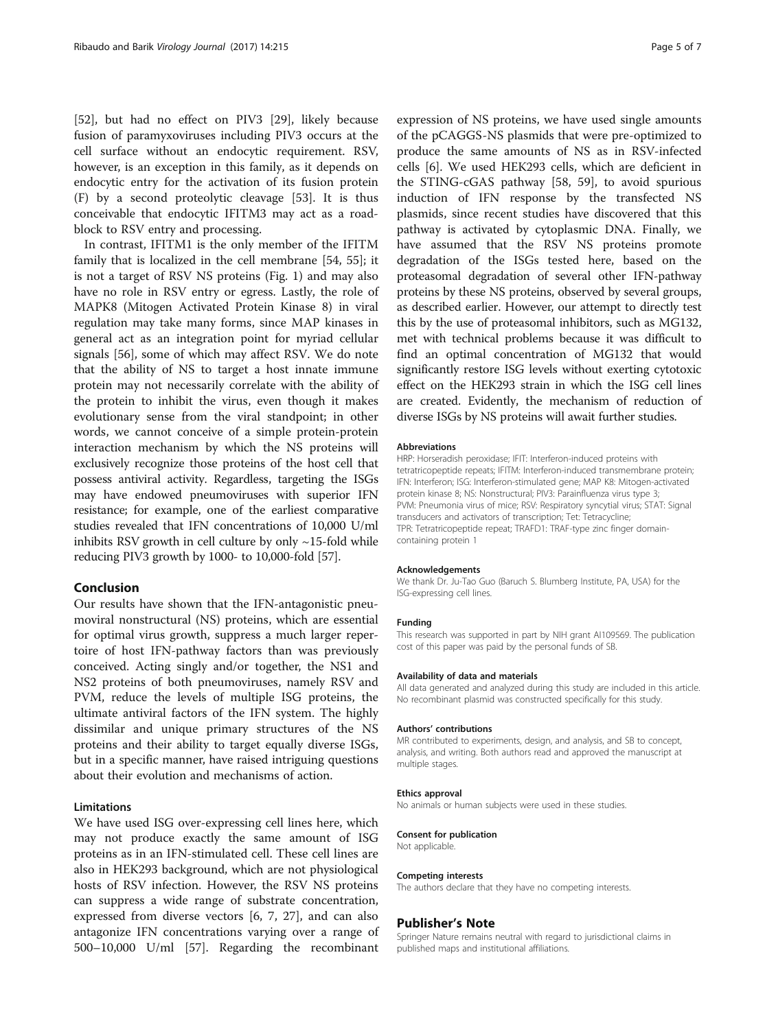[[52\]](#page-6-0), but had no effect on PIV3 [[29](#page-5-0)], likely because fusion of paramyxoviruses including PIV3 occurs at the cell surface without an endocytic requirement. RSV, however, is an exception in this family, as it depends on endocytic entry for the activation of its fusion protein (F) by a second proteolytic cleavage [\[53\]](#page-6-0). It is thus conceivable that endocytic IFITM3 may act as a roadblock to RSV entry and processing.

In contrast, IFITM1 is the only member of the IFITM family that is localized in the cell membrane [\[54](#page-6-0), [55\]](#page-6-0); it is not a target of RSV NS proteins (Fig. [1](#page-1-0)) and may also have no role in RSV entry or egress. Lastly, the role of MAPK8 (Mitogen Activated Protein Kinase 8) in viral regulation may take many forms, since MAP kinases in general act as an integration point for myriad cellular signals [\[56](#page-6-0)], some of which may affect RSV. We do note that the ability of NS to target a host innate immune protein may not necessarily correlate with the ability of the protein to inhibit the virus, even though it makes evolutionary sense from the viral standpoint; in other words, we cannot conceive of a simple protein-protein interaction mechanism by which the NS proteins will exclusively recognize those proteins of the host cell that possess antiviral activity. Regardless, targeting the ISGs may have endowed pneumoviruses with superior IFN resistance; for example, one of the earliest comparative studies revealed that IFN concentrations of 10,000 U/ml inhibits RSV growth in cell culture by only  $\sim$ 15-fold while reducing PIV3 growth by 1000- to 10,000-fold [[57](#page-6-0)].

## Conclusion

Our results have shown that the IFN-antagonistic pneumoviral nonstructural (NS) proteins, which are essential for optimal virus growth, suppress a much larger repertoire of host IFN-pathway factors than was previously conceived. Acting singly and/or together, the NS1 and NS2 proteins of both pneumoviruses, namely RSV and PVM, reduce the levels of multiple ISG proteins, the ultimate antiviral factors of the IFN system. The highly dissimilar and unique primary structures of the NS proteins and their ability to target equally diverse ISGs, but in a specific manner, have raised intriguing questions about their evolution and mechanisms of action.

## Limitations

We have used ISG over-expressing cell lines here, which may not produce exactly the same amount of ISG proteins as in an IFN-stimulated cell. These cell lines are also in HEK293 background, which are not physiological hosts of RSV infection. However, the RSV NS proteins can suppress a wide range of substrate concentration, expressed from diverse vectors [[6](#page-5-0), [7, 27](#page-5-0)], and can also antagonize IFN concentrations varying over a range of 500–10,000 U/ml [[57\]](#page-6-0). Regarding the recombinant

expression of NS proteins, we have used single amounts of the pCAGGS-NS plasmids that were pre-optimized to produce the same amounts of NS as in RSV-infected cells [\[6](#page-5-0)]. We used HEK293 cells, which are deficient in the STING-cGAS pathway [[58](#page-6-0), [59](#page-6-0)], to avoid spurious induction of IFN response by the transfected NS plasmids, since recent studies have discovered that this pathway is activated by cytoplasmic DNA. Finally, we have assumed that the RSV NS proteins promote degradation of the ISGs tested here, based on the proteasomal degradation of several other IFN-pathway proteins by these NS proteins, observed by several groups, as described earlier. However, our attempt to directly test this by the use of proteasomal inhibitors, such as MG132, met with technical problems because it was difficult to find an optimal concentration of MG132 that would significantly restore ISG levels without exerting cytotoxic effect on the HEK293 strain in which the ISG cell lines are created. Evidently, the mechanism of reduction of diverse ISGs by NS proteins will await further studies.

#### Abbreviations

HRP: Horseradish peroxidase; IFIT: Interferon-induced proteins with tetratricopeptide repeats; IFITM: Interferon-induced transmembrane protein; IFN: Interferon; ISG: Interferon-stimulated gene; MAP K8: Mitogen-activated protein kinase 8; NS: Nonstructural; PIV3: Parainfluenza virus type 3; PVM: Pneumonia virus of mice; RSV: Respiratory syncytial virus; STAT: Signal transducers and activators of transcription; Tet: Tetracycline; TPR: Tetratricopeptide repeat; TRAFD1: TRAF-type zinc finger domaincontaining protein 1

#### Acknowledgements

We thank Dr. Ju-Tao Guo (Baruch S. Blumberg Institute, PA, USA) for the ISG-expressing cell lines.

#### Funding

This research was supported in part by NIH grant AI109569. The publication cost of this paper was paid by the personal funds of SB.

#### Availability of data and materials

All data generated and analyzed during this study are included in this article. No recombinant plasmid was constructed specifically for this study.

#### Authors' contributions

MR contributed to experiments, design, and analysis, and SB to concept, analysis, and writing. Both authors read and approved the manuscript at multiple stages.

#### Ethics approval

No animals or human subjects were used in these studies.

#### Consent for publication

Not applicable.

#### Competing interests

The authors declare that they have no competing interests.

#### Publisher's Note

Springer Nature remains neutral with regard to jurisdictional claims in published maps and institutional affiliations.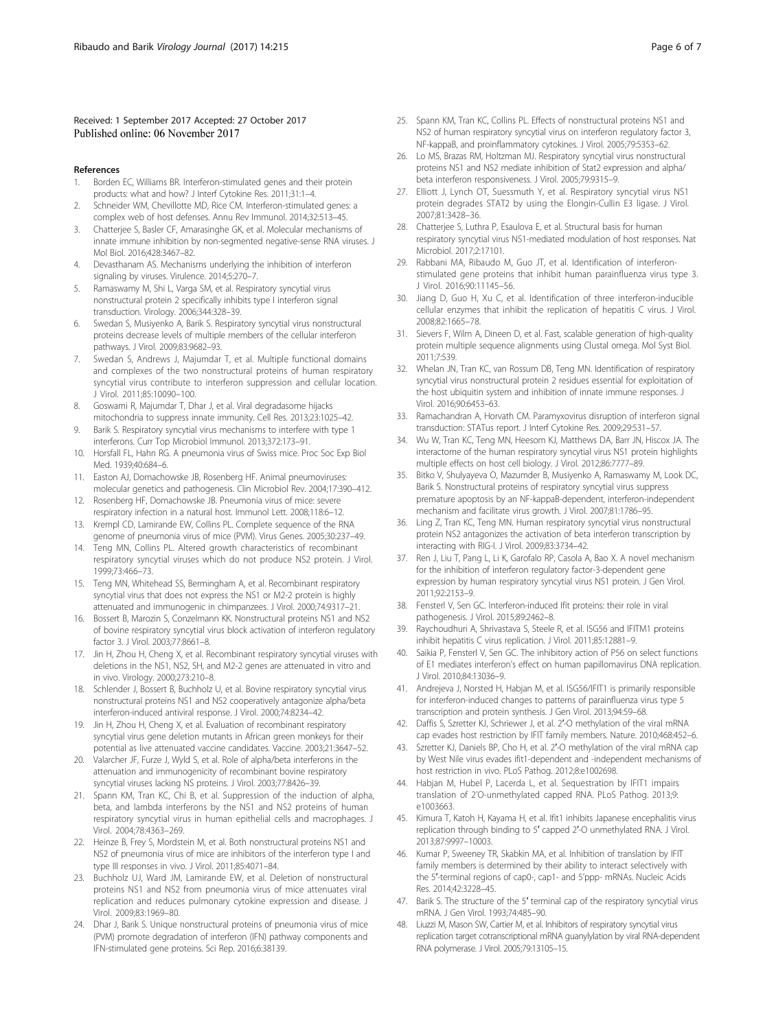### <span id="page-5-0"></span>Received: 1 September 2017 Accepted: 27 October 2017 Published online: 06 November 2017

#### References

- 1. Borden EC, Williams BR. Interferon-stimulated genes and their protein products: what and how? J Interf Cytokine Res. 2011;31:1–4.
- 2. Schneider WM, Chevillotte MD, Rice CM. Interferon-stimulated genes: a complex web of host defenses. Annu Rev Immunol. 2014;32:513–45.
- 3. Chatterjee S, Basler CF, Amarasinghe GK, et al. Molecular mechanisms of innate immune inhibition by non-segmented negative-sense RNA viruses. J Mol Biol. 2016;428:3467–82.
- 4. Devasthanam AS. Mechanisms underlying the inhibition of interferon signaling by viruses. Virulence. 2014;5:270–7.
- 5. Ramaswamy M, Shi L, Varga SM, et al. Respiratory syncytial virus nonstructural protein 2 specifically inhibits type I interferon signal transduction. Virology. 2006;344:328–39.
- 6. Swedan S, Musiyenko A, Barik S. Respiratory syncytial virus nonstructural proteins decrease levels of multiple members of the cellular interferon pathways. J Virol. 2009;83:9682–93.
- 7. Swedan S, Andrews J, Majumdar T, et al. Multiple functional domains and complexes of the two nonstructural proteins of human respiratory syncytial virus contribute to interferon suppression and cellular location. J Virol. 2011;85:10090–100.
- 8. Goswami R, Majumdar T, Dhar J, et al. Viral degradasome hijacks mitochondria to suppress innate immunity. Cell Res. 2013;23:1025–42.
- 9. Barik S. Respiratory syncytial virus mechanisms to interfere with type 1 interferons. Curr Top Microbiol Immunol. 2013;372:173–91.
- 10. Horsfall FL, Hahn RG. A pneumonia virus of Swiss mice. Proc Soc Exp Biol Med. 1939;40:684–6.
- 11. Easton AJ, Domachowske JB, Rosenberg HF. Animal pneumoviruses: molecular genetics and pathogenesis. Clin Microbiol Rev. 2004;17:390–412.
- 12. Rosenberg HF, Domachowske JB. Pneumonia virus of mice: severe respiratory infection in a natural host. Immunol Lett. 2008;118:6–12.
- 13. Krempl CD, Lamirande EW, Collins PL. Complete sequence of the RNA genome of pneumonia virus of mice (PVM). Virus Genes. 2005;30:237–49.
- 14. Teng MN, Collins PL. Altered growth characteristics of recombinant respiratory syncytial viruses which do not produce NS2 protein. J Virol. 1999;73:466–73.
- 15. Teng MN, Whitehead SS, Bermingham A, et al. Recombinant respiratory syncytial virus that does not express the NS1 or M2-2 protein is highly attenuated and immunogenic in chimpanzees. J Virol. 2000;74:9317–21.
- 16. Bossert B, Marozin S, Conzelmann KK. Nonstructural proteins NS1 and NS2 of bovine respiratory syncytial virus block activation of interferon regulatory factor 3. J Virol. 2003;77:8661–8.
- 17. Jin H, Zhou H, Cheng X, et al. Recombinant respiratory syncytial viruses with deletions in the NS1, NS2, SH, and M2-2 genes are attenuated in vitro and in vivo. Virology. 2000;273:210–8.
- 18. Schlender J, Bossert B, Buchholz U, et al. Bovine respiratory syncytial virus nonstructural proteins NS1 and NS2 cooperatively antagonize alpha/beta interferon-induced antiviral response. J Virol. 2000;74:8234–42.
- 19. Jin H, Zhou H, Cheng X, et al. Evaluation of recombinant respiratory syncytial virus gene deletion mutants in African green monkeys for their potential as live attenuated vaccine candidates. Vaccine. 2003;21:3647–52.
- 20. Valarcher JF, Furze J, Wyld S, et al. Role of alpha/beta interferons in the attenuation and immunogenicity of recombinant bovine respiratory syncytial viruses lacking NS proteins. J Virol. 2003;77:8426–39.
- 21. Spann KM, Tran KC, Chi B, et al. Suppression of the induction of alpha, beta, and lambda interferons by the NS1 and NS2 proteins of human respiratory syncytial virus in human epithelial cells and macrophages. J Virol. 2004;78:4363–269.
- 22. Heinze B, Frey S, Mordstein M, et al. Both nonstructural proteins NS1 and NS2 of pneumonia virus of mice are inhibitors of the interferon type I and type III responses in vivo. J Virol. 2011;85:4071–84.
- 23. Buchholz UJ, Ward JM, Lamirande EW, et al. Deletion of nonstructural proteins NS1 and NS2 from pneumonia virus of mice attenuates viral replication and reduces pulmonary cytokine expression and disease. J Virol. 2009;83:1969–80.
- 24. Dhar J, Barik S. Unique nonstructural proteins of pneumonia virus of mice (PVM) promote degradation of interferon (IFN) pathway components and IFN-stimulated gene proteins. Sci Rep. 2016;6:38139.
- 25. Spann KM, Tran KC, Collins PL. Effects of nonstructural proteins NS1 and NS2 of human respiratory syncytial virus on interferon regulatory factor 3, NF-kappaB, and proinflammatory cytokines. J Virol. 2005;79:5353–62.
- 26. Lo MS, Brazas RM, Holtzman MJ. Respiratory syncytial virus nonstructural proteins NS1 and NS2 mediate inhibition of Stat2 expression and alpha/ beta interferon responsiveness. J Virol. 2005;79:9315–9.
- 27. Elliott J, Lynch OT, Suessmuth Y, et al. Respiratory syncytial virus NS1 protein degrades STAT2 by using the Elongin-Cullin E3 ligase. J Virol. 2007;81:3428–36.
- 28. Chatterjee S, Luthra P, Esaulova E, et al. Structural basis for human respiratory syncytial virus NS1-mediated modulation of host responses. Nat Microbiol. 2017;2:17101.
- 29. Rabbani MA, Ribaudo M, Guo JT, et al. Identification of interferonstimulated gene proteins that inhibit human parainfluenza virus type 3. J Virol. 2016;90:11145–56.
- 30. Jiang D, Guo H, Xu C, et al. Identification of three interferon-inducible cellular enzymes that inhibit the replication of hepatitis C virus. J Virol. 2008;82:1665–78.
- 31. Sievers F, Wilm A, Dineen D, et al. Fast, scalable generation of high-quality protein multiple sequence alignments using Clustal omega. Mol Syst Biol. 2011;7:539.
- 32. Whelan JN, Tran KC, van Rossum DB, Teng MN. Identification of respiratory syncytial virus nonstructural protein 2 residues essential for exploitation of the host ubiquitin system and inhibition of innate immune responses. J Virol. 2016;90:6453–63.
- 33. Ramachandran A, Horvath CM. Paramyxovirus disruption of interferon signal transduction: STATus report. J Interf Cytokine Res. 2009;29:531–57.
- 34. Wu W, Tran KC, Teng MN, Heesom KJ, Matthews DA, Barr JN, Hiscox JA. The interactome of the human respiratory syncytial virus NS1 protein highlights multiple effects on host cell biology. J Virol. 2012;86:7777–89.
- 35. Bitko V, Shulyayeva O, Mazumder B, Musiyenko A, Ramaswamy M, Look DC, Barik S. Nonstructural proteins of respiratory syncytial virus suppress premature apoptosis by an NF-kappaB-dependent, interferon-independent mechanism and facilitate virus growth. J Virol. 2007;81:1786–95.
- 36. Ling Z, Tran KC, Teng MN. Human respiratory syncytial virus nonstructural protein NS2 antagonizes the activation of beta interferon transcription by interacting with RIG-I. J Virol. 2009;83:3734–42.
- 37. Ren J, Liu T, Pang L, Li K, Garofalo RP, Casola A, Bao X. A novel mechanism for the inhibition of interferon regulatory factor-3-dependent gene expression by human respiratory syncytial virus NS1 protein. J Gen Virol. 2011;92:2153–9.
- 38. Fensterl V, Sen GC. Interferon-induced Ifit proteins: their role in viral pathogenesis. J Virol. 2015;89:2462–8.
- 39. Raychoudhuri A, Shrivastava S, Steele R, et al. ISG56 and IFITM1 proteins inhibit hepatitis C virus replication. J Virol. 2011;85:12881–9.
- 40. Saikia P, Fensterl V, Sen GC. The inhibitory action of P56 on select functions of E1 mediates interferon's effect on human papillomavirus DNA replication. J Virol. 2010;84:13036–9.
- 41. Andrejeva J, Norsted H, Habjan M, et al. ISG56/IFIT1 is primarily responsible for interferon-induced changes to patterns of parainfluenza virus type 5 transcription and protein synthesis. J Gen Virol. 2013;94:59–68.
- 42. Daffis S, Szretter KJ, Schriewer J, et al. 2′-O methylation of the viral mRNA cap evades host restriction by IFIT family members. Nature. 2010;468:452–6.
- 43. Szretter KJ, Daniels BP, Cho H, et al. 2′-O methylation of the viral mRNA cap by West Nile virus evades ifit1-dependent and -independent mechanisms of host restriction in vivo. PLoS Pathog. 2012;8:e1002698.
- 44. Habjan M, Hubel P, Lacerda L, et al. Sequestration by IFIT1 impairs translation of 2'O-unmethylated capped RNA. PLoS Pathog. 2013;9: e1003663.
- 45. Kimura T, Katoh H, Kayama H, et al. Ifit1 inhibits Japanese encephalitis virus replication through binding to 5′ capped 2′-O unmethylated RNA. J Virol. 2013;87:9997–10003.
- 46. Kumar P, Sweeney TR, Skabkin MA, et al. Inhibition of translation by IFIT family members is determined by their ability to interact selectively with the 5′-terminal regions of cap0-, cap1- and 5'ppp- mRNAs. Nucleic Acids Res. 2014;42:3228–45.
- 47. Barik S. The structure of the 5' terminal cap of the respiratory syncytial virus mRNA. J Gen Virol. 1993;74:485–90.
- Liuzzi M, Mason SW, Cartier M, et al. Inhibitors of respiratory syncytial virus replication target cotranscriptional mRNA guanylylation by viral RNA-dependent RNA polymerase. J Virol. 2005;79:13105–15.